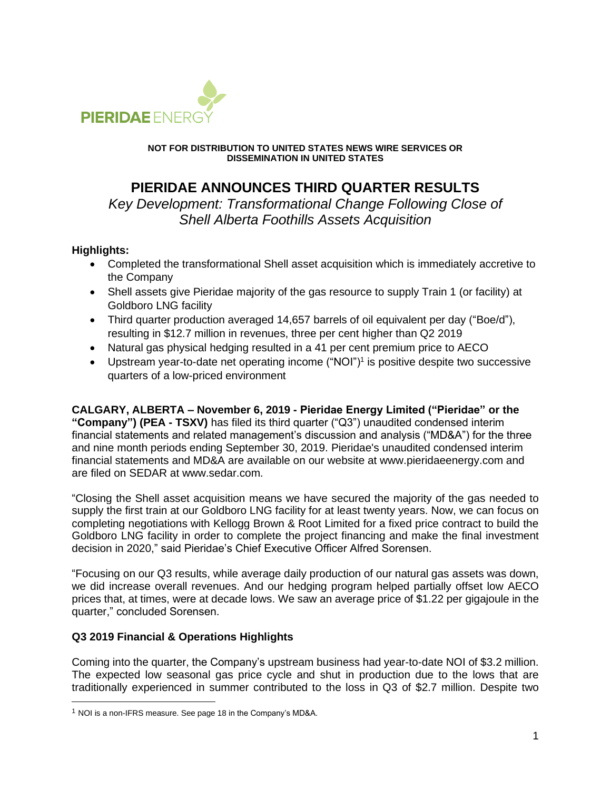

#### **NOT FOR DISTRIBUTION TO UNITED STATES NEWS WIRE SERVICES OR DISSEMINATION IN UNITED STATES**

# **PIERIDAE ANNOUNCES THIRD QUARTER RESULTS**

*Key Development: Transformational Change Following Close of Shell Alberta Foothills Assets Acquisition*

## **Highlights:**

- Completed the transformational Shell asset acquisition which is immediately accretive to the Company
- Shell assets give Pieridae majority of the gas resource to supply Train 1 (or facility) at Goldboro LNG facility
- Third quarter production averaged 14,657 barrels of oil equivalent per day ("Boe/d"), resulting in \$12.7 million in revenues, three per cent higher than Q2 2019
- Natural gas physical hedging resulted in a 41 per cent premium price to AECO
- Upstream year-to-date net operating income ("NOI")<sup>1</sup> is positive despite two successive quarters of a low-priced environment

**CALGARY, ALBERTA – November 6, 2019 - Pieridae Energy Limited ("Pieridae" or the "Company") (PEA - TSXV)** has filed its third quarter ("Q3") unaudited condensed interim financial statements and related management's discussion and analysis ("MD&A") for the three and nine month periods ending September 30, 2019. Pieridae's unaudited condensed interim financial statements and MD&A are available on our website at www.pieridaeenergy.com and are filed on SEDAR at www.sedar.com.

"Closing the Shell asset acquisition means we have secured the majority of the gas needed to supply the first train at our Goldboro LNG facility for at least twenty years. Now, we can focus on completing negotiations with Kellogg Brown & Root Limited for a fixed price contract to build the Goldboro LNG facility in order to complete the project financing and make the final investment decision in 2020," said Pieridae's Chief Executive Officer Alfred Sorensen.

"Focusing on our Q3 results, while average daily production of our natural gas assets was down, we did increase overall revenues. And our hedging program helped partially offset low AECO prices that, at times, were at decade lows. We saw an average price of \$1.22 per gigajoule in the quarter," concluded Sorensen.

# **Q3 2019 Financial & Operations Highlights**

Coming into the quarter, the Company's upstream business had year-to-date NOI of \$3.2 million. The expected low seasonal gas price cycle and shut in production due to the lows that are traditionally experienced in summer contributed to the loss in Q3 of \$2.7 million. Despite two

<sup>&</sup>lt;sup>1</sup> NOI is a non-IFRS measure. See page 18 in the Company's MD&A.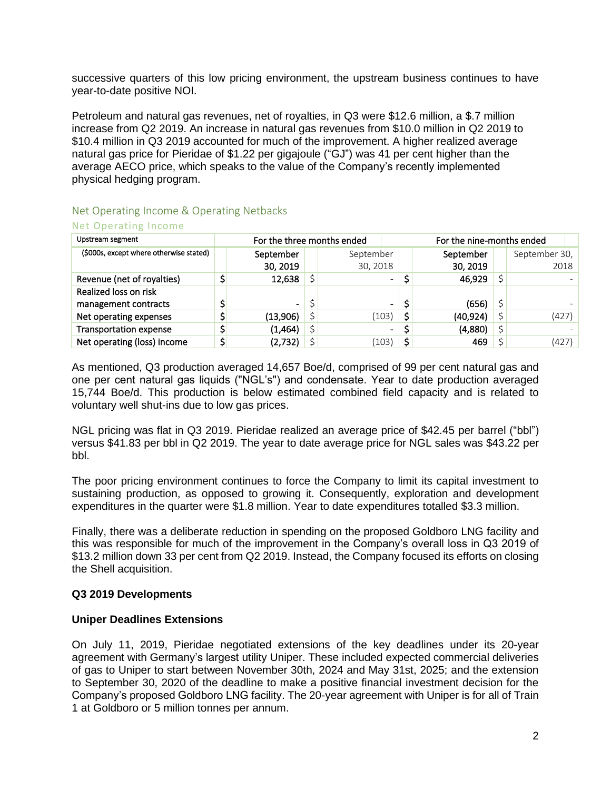successive quarters of this low pricing environment, the upstream business continues to have year-to-date positive NOI.

Petroleum and natural gas revenues, net of royalties, in Q3 were \$12.6 million, a \$.7 million increase from Q2 2019. An increase in natural gas revenues from \$10.0 million in Q2 2019 to \$10.4 million in Q3 2019 accounted for much of the improvement. A higher realized average natural gas price for Pieridae of \$1.22 per gigajoule ("GJ") was 41 per cent higher than the average AECO price, which speaks to the value of the Company's recently implemented physical hedging program.

## Net Operating Income & Operating Netbacks Net Operating Income

| Upstream segment                        | For the three months ended |                |   |                | For the nine-months ended |           |  |               |
|-----------------------------------------|----------------------------|----------------|---|----------------|---------------------------|-----------|--|---------------|
| (\$000s, except where otherwise stated) |                            | September      |   | September      |                           | September |  | September 30, |
|                                         |                            | 30, 2019       |   | 30, 2018       |                           | 30, 2019  |  | 2018          |
| Revenue (net of royalties)              |                            | 12,638         |   | $\blacksquare$ |                           | 46,929    |  |               |
| Realized loss on risk                   |                            |                |   |                |                           |           |  |               |
| management contracts                    |                            | $\blacksquare$ | Ś | $\blacksquare$ | \$                        | (656)     |  |               |
| Net operating expenses                  |                            | (13,906)       |   | (103)          | \$                        | (40, 924) |  | (427)         |
| <b>Transportation expense</b>           |                            | (1,464)        |   | $\blacksquare$ |                           | (4,880)   |  |               |
| Net operating (loss) income             |                            | (2,732)        |   | (103)          | \$                        | 469       |  | (427)         |

As mentioned, Q3 production averaged 14,657 Boe/d, comprised of 99 per cent natural gas and one per cent natural gas liquids ("NGL's") and condensate. Year to date production averaged 15,744 Boe/d. This production is below estimated combined field capacity and is related to voluntary well shut-ins due to low gas prices.

NGL pricing was flat in Q3 2019. Pieridae realized an average price of \$42.45 per barrel ("bbl") versus \$41.83 per bbl in Q2 2019. The year to date average price for NGL sales was \$43.22 per bbl.

The poor pricing environment continues to force the Company to limit its capital investment to sustaining production, as opposed to growing it. Consequently, exploration and development expenditures in the quarter were \$1.8 million. Year to date expenditures totalled \$3.3 million.

Finally, there was a deliberate reduction in spending on the proposed Goldboro LNG facility and this was responsible for much of the improvement in the Company's overall loss in Q3 2019 of \$13.2 million down 33 per cent from Q2 2019. Instead, the Company focused its efforts on closing the Shell acquisition.

## **Q3 2019 Developments**

## **Uniper Deadlines Extensions**

On July 11, 2019, Pieridae negotiated extensions of the key deadlines under its 20-year agreement with Germany's largest utility Uniper. These included expected commercial deliveries of gas to Uniper to start between November 30th, 2024 and May 31st, 2025; and the extension to September 30, 2020 of the deadline to make a positive financial investment decision for the Company's proposed Goldboro LNG facility. The 20-year agreement with Uniper is for all of Train 1 at Goldboro or 5 million tonnes per annum.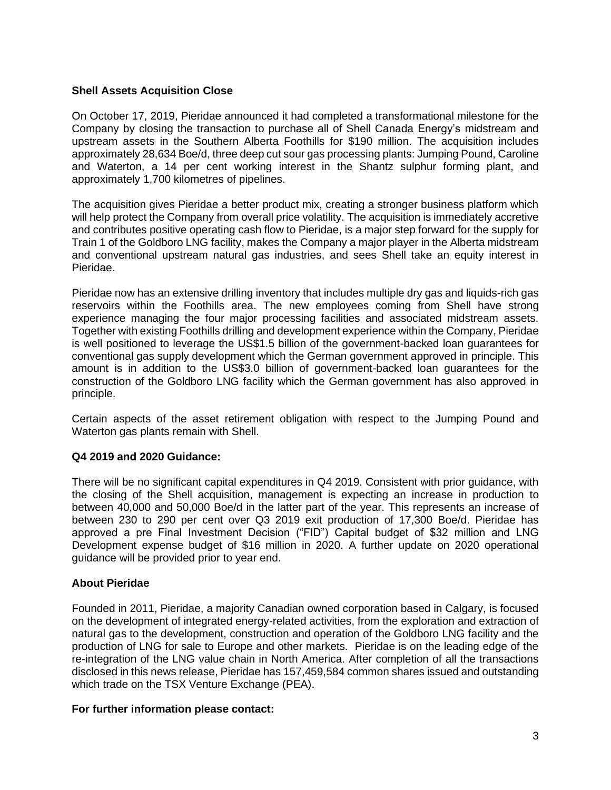## **Shell Assets Acquisition Close**

On October 17, 2019, Pieridae announced it had completed a transformational milestone for the Company by closing the transaction to purchase all of Shell Canada Energy's midstream and upstream assets in the Southern Alberta Foothills for \$190 million. The acquisition includes approximately 28,634 Boe/d, three deep cut sour gas processing plants: Jumping Pound, Caroline and Waterton, a 14 per cent working interest in the Shantz sulphur forming plant, and approximately 1,700 kilometres of pipelines.

The acquisition gives Pieridae a better product mix, creating a stronger business platform which will help protect the Company from overall price volatility. The acquisition is immediately accretive and contributes positive operating cash flow to Pieridae, is a major step forward for the supply for Train 1 of the Goldboro LNG facility, makes the Company a major player in the Alberta midstream and conventional upstream natural gas industries, and sees Shell take an equity interest in Pieridae.

Pieridae now has an extensive drilling inventory that includes multiple dry gas and liquids-rich gas reservoirs within the Foothills area. The new employees coming from Shell have strong experience managing the four major processing facilities and associated midstream assets. Together with existing Foothills drilling and development experience within the Company, Pieridae is well positioned to leverage the US\$1.5 billion of the government-backed loan guarantees for conventional gas supply development which the German government approved in principle. This amount is in addition to the US\$3.0 billion of government-backed loan guarantees for the construction of the Goldboro LNG facility which the German government has also approved in principle.

Certain aspects of the asset retirement obligation with respect to the Jumping Pound and Waterton gas plants remain with Shell.

#### **Q4 2019 and 2020 Guidance:**

There will be no significant capital expenditures in Q4 2019. Consistent with prior guidance, with the closing of the Shell acquisition, management is expecting an increase in production to between 40,000 and 50,000 Boe/d in the latter part of the year. This represents an increase of between 230 to 290 per cent over Q3 2019 exit production of 17,300 Boe/d. Pieridae has approved a pre Final Investment Decision ("FID") Capital budget of \$32 million and LNG Development expense budget of \$16 million in 2020. A further update on 2020 operational guidance will be provided prior to year end.

## **About Pieridae**

Founded in 2011, Pieridae, a majority Canadian owned corporation based in Calgary, is focused on the development of integrated energy-related activities, from the exploration and extraction of natural gas to the development, construction and operation of the Goldboro LNG facility and the production of LNG for sale to Europe and other markets. Pieridae is on the leading edge of the re-integration of the LNG value chain in North America. After completion of all the transactions disclosed in this news release, Pieridae has 157,459,584 common shares issued and outstanding which trade on the TSX Venture Exchange (PEA).

#### **For further information please contact:**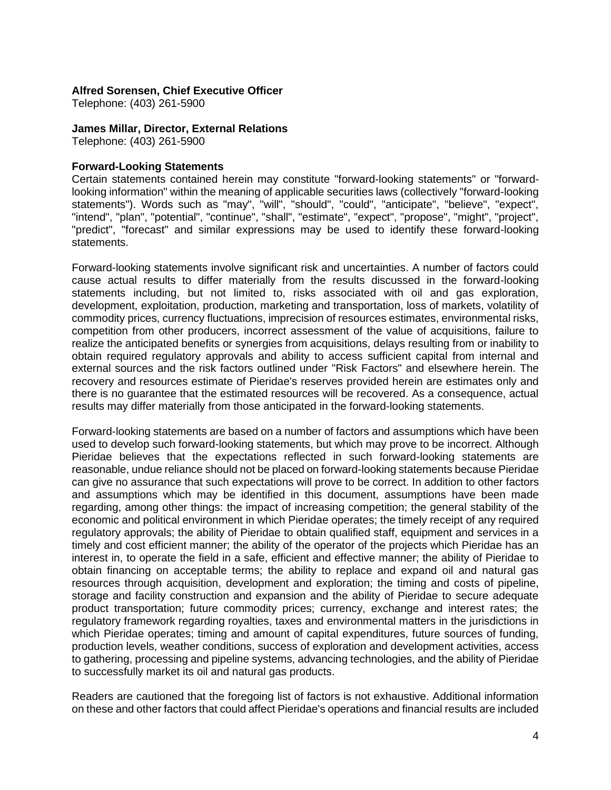#### **Alfred Sorensen, Chief Executive Officer**

Telephone: (403) 261-5900

#### **James Millar, Director, External Relations**

Telephone: (403) 261-5900

## **Forward-Looking Statements**

Certain statements contained herein may constitute "forward-looking statements" or "forwardlooking information" within the meaning of applicable securities laws (collectively "forward-looking statements"). Words such as "may", "will", "should", "could", "anticipate", "believe", "expect", "intend", "plan", "potential", "continue", "shall", "estimate", "expect", "propose", "might", "project", "predict", "forecast" and similar expressions may be used to identify these forward-looking statements.

Forward-looking statements involve significant risk and uncertainties. A number of factors could cause actual results to differ materially from the results discussed in the forward-looking statements including, but not limited to, risks associated with oil and gas exploration, development, exploitation, production, marketing and transportation, loss of markets, volatility of commodity prices, currency fluctuations, imprecision of resources estimates, environmental risks, competition from other producers, incorrect assessment of the value of acquisitions, failure to realize the anticipated benefits or synergies from acquisitions, delays resulting from or inability to obtain required regulatory approvals and ability to access sufficient capital from internal and external sources and the risk factors outlined under "Risk Factors" and elsewhere herein. The recovery and resources estimate of Pieridae's reserves provided herein are estimates only and there is no guarantee that the estimated resources will be recovered. As a consequence, actual results may differ materially from those anticipated in the forward-looking statements.

Forward-looking statements are based on a number of factors and assumptions which have been used to develop such forward-looking statements, but which may prove to be incorrect. Although Pieridae believes that the expectations reflected in such forward-looking statements are reasonable, undue reliance should not be placed on forward-looking statements because Pieridae can give no assurance that such expectations will prove to be correct. In addition to other factors and assumptions which may be identified in this document, assumptions have been made regarding, among other things: the impact of increasing competition; the general stability of the economic and political environment in which Pieridae operates; the timely receipt of any required regulatory approvals; the ability of Pieridae to obtain qualified staff, equipment and services in a timely and cost efficient manner; the ability of the operator of the projects which Pieridae has an interest in, to operate the field in a safe, efficient and effective manner; the ability of Pieridae to obtain financing on acceptable terms; the ability to replace and expand oil and natural gas resources through acquisition, development and exploration; the timing and costs of pipeline, storage and facility construction and expansion and the ability of Pieridae to secure adequate product transportation; future commodity prices; currency, exchange and interest rates; the regulatory framework regarding royalties, taxes and environmental matters in the jurisdictions in which Pieridae operates; timing and amount of capital expenditures, future sources of funding, production levels, weather conditions, success of exploration and development activities, access to gathering, processing and pipeline systems, advancing technologies, and the ability of Pieridae to successfully market its oil and natural gas products.

Readers are cautioned that the foregoing list of factors is not exhaustive. Additional information on these and other factors that could affect Pieridae's operations and financial results are included